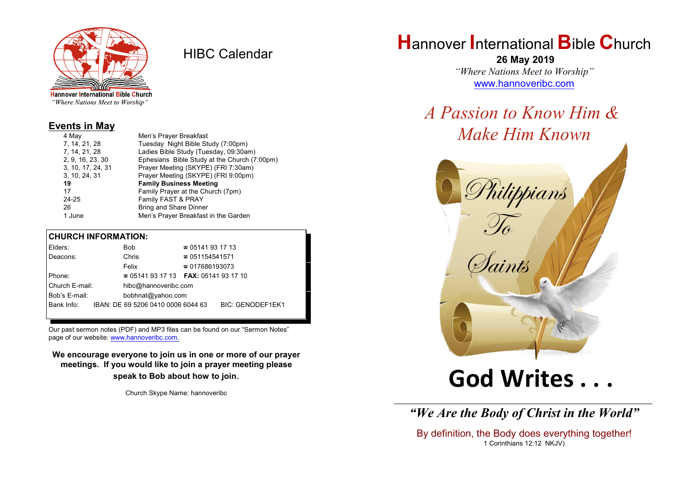

HIBC Calendar

"Where Nations Meet to Worship"

### **Events in May**

| Men's Prayer Breakfast                       |  |
|----------------------------------------------|--|
| Tuesday Night Bible Study (7:00pm)           |  |
| Ladies Bible Study (Tuesday, 09:30am)        |  |
| Ephesians Bible Study at the Church (7:00pm) |  |
| Prayer Meeting (SKYPE) (FRI 7:30am)          |  |
| Prayer Meeting (SKYPE) (FRI 9:00pm)          |  |
| <b>Family Business Meeting</b>               |  |
| Family Prayer at the Church (7pm)            |  |
| Family FAST & PRAY                           |  |
| <b>Bring and Share Dinner</b>                |  |
| Men's Prayer Breakfast in the Garden         |  |
|                                              |  |

### **CHURCH INFORMATION:**

|                                 | Elders:    |  | <b>Bob</b>                         | $\approx 05141931713$                    |                         |  |
|---------------------------------|------------|--|------------------------------------|------------------------------------------|-------------------------|--|
|                                 | Deacons:   |  | Chris                              | $\approx 051154541571$                   |                         |  |
|                                 |            |  | Felix                              | $\approx 017686193073$                   |                         |  |
| Phone:                          |            |  |                                    | $\approx 05141931713$ FAX: 0514193 17 10 |                         |  |
| Church E-mail:<br>Bob's E-mail: |            |  | hibc@hannoveribc.com               |                                          |                         |  |
|                                 |            |  | bobhnat@yahoo.com                  |                                          |                         |  |
|                                 | Bank Info: |  | IBAN: DE 69 5206 0410 0006 6044 63 |                                          | <b>BIC: GENODEF1EK1</b> |  |
|                                 |            |  |                                    |                                          |                         |  |

Our past sermon notes (PDF) and MP3 files can be found on our "Sermon Notes" page of our website: [www.hannoveribc.com.](http://www.hannoveribc.com.)

**We encourage everyone to join us in one or more of our prayer meetings. If you would like to join a prayer meeting please speak to Bob about how to join**.

Church Skype Name: hannoveribc

## **H**annover **I**nternational **B**ible **C**hurch

 **26 May 2019** *"Where Nations Meet to Worship"* [www.hannoveribc.com](http://www.hannoveribc.com)

*A Passion to Know Him & Make Him Known*



# **God Writes . . .**

\_\_\_\_\_\_\_\_\_\_\_\_\_\_\_\_\_\_\_\_\_\_\_\_\_\_\_\_\_\_\_\_\_\_\_\_\_\_\_\_\_\_\_\_\_\_\_\_\_\_\_\_\_\_\_\_\_\_\_\_\_\_ *"We Are the Body of Christ in the World"*

By definition, the Body does everything together! 1 Corinthians 12:12 NKJV)